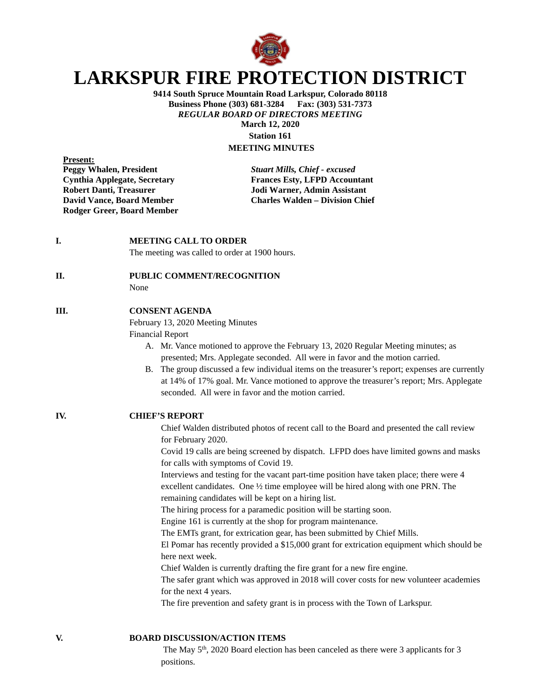

# **LARKSPUR FIRE PROTECTION DISTRICT**

**9414 South Spruce Mountain Road Larkspur, Colorado 80118 Business Phone (303) 681-3284 Fax: (303) 531-7373** *REGULAR BOARD OF DIRECTORS MEETING* **March 12, 2020 Station 161**

## **MEETING MINUTES**

**Present:**<br>**Peggy Whalen, President Rodger Greer, Board Member**

**Peggy Whalen, President** *Stuart Mills, Chief - excused* **Cynthia Applegate, Secretary Frances Esty, LFPD Accountant Robert Danti, Treasurer Jodi Warner, Admin Assistant David Vance, Board Member Charles Walden – Division Chief**

**I. MEETING CALL TO ORDER** 

The meeting was called to order at 1900 hours.

#### **II. PUBLIC COMMENT/RECOGNITION**

None

#### **III. CONSENT AGENDA**

February 13, 2020 Meeting Minutes

Financial Report

- A. Mr. Vance motioned to approve the February 13, 2020 Regular Meeting minutes; as presented; Mrs. Applegate seconded. All were in favor and the motion carried.
- B. The group discussed a few individual items on the treasurer's report; expenses are currently at 14% of 17% goal. Mr. Vance motioned to approve the treasurer's report; Mrs. Applegate seconded. All were in favor and the motion carried.

**IV. CHIEF'S REPORT**

Chief Walden distributed photos of recent call to the Board and presented the call review for February 2020.

Covid 19 calls are being screened by dispatch. LFPD does have limited gowns and masks for calls with symptoms of Covid 19.

Interviews and testing for the vacant part-time position have taken place; there were 4 excellent candidates. One ½ time employee will be hired along with one PRN. The remaining candidates will be kept on a hiring list.

The hiring process for a paramedic position will be starting soon.

Engine 161 is currently at the shop for program maintenance.

The EMTs grant, for extrication gear, has been submitted by Chief Mills.

El Pomar has recently provided a \$15,000 grant for extrication equipment which should be here next week.

Chief Walden is currently drafting the fire grant for a new fire engine.

The safer grant which was approved in 2018 will cover costs for new volunteer academies for the next 4 years.

The fire prevention and safety grant is in process with the Town of Larkspur.

### **V. BOARD DISCUSSION/ACTION ITEMS**

The May  $5<sup>th</sup>$ , 2020 Board election has been canceled as there were 3 applicants for 3 positions.